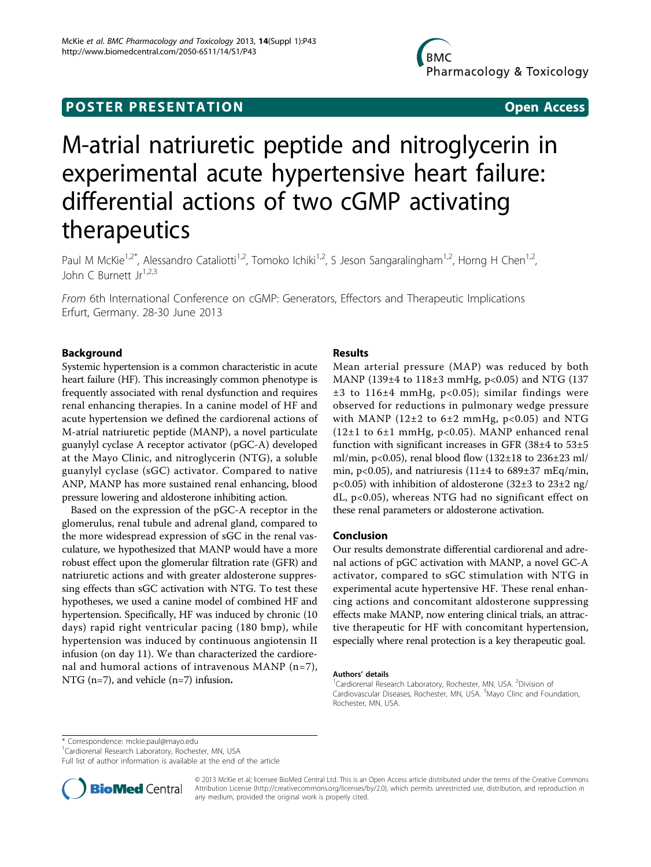## **POSTER PRESENTATION CONSUMING ACCESS**

# M-atrial natriuretic peptide and nitroglycerin in experimental acute hypertensive heart failure: differential actions of two cGMP activating therapeutics

Paul M McKie<sup>1,2\*</sup>, Alessandro Cataliotti<sup>1,2</sup>, Tomoko Ichiki<sup>1,2</sup>, S Jeson Sangaralingham<sup>1,2</sup>, Horng H Chen<sup>1,2</sup>, John C Burnett Jr<sup>1,2,3</sup>

From 6th International Conference on cGMP: Generators, Effectors and Therapeutic Implications Erfurt, Germany. 28-30 June 2013

### Background

Systemic hypertension is a common characteristic in acute heart failure (HF). This increasingly common phenotype is frequently associated with renal dysfunction and requires renal enhancing therapies. In a canine model of HF and acute hypertension we defined the cardiorenal actions of M-atrial natriuretic peptide (MANP), a novel particulate guanylyl cyclase A receptor activator (pGC-A) developed at the Mayo Clinic, and nitroglycerin (NTG), a soluble guanylyl cyclase (sGC) activator. Compared to native ANP, MANP has more sustained renal enhancing, blood pressure lowering and aldosterone inhibiting action.

Based on the expression of the pGC-A receptor in the glomerulus, renal tubule and adrenal gland, compared to the more widespread expression of sGC in the renal vasculature, we hypothesized that MANP would have a more robust effect upon the glomerular filtration rate (GFR) and natriuretic actions and with greater aldosterone suppressing effects than sGC activation with NTG. To test these hypotheses, we used a canine model of combined HF and hypertension. Specifically, HF was induced by chronic (10 days) rapid right ventricular pacing (180 bmp), while hypertension was induced by continuous angiotensin II infusion (on day 11). We than characterized the cardiorenal and humoral actions of intravenous MANP (n=7), NTG (n=7), and vehicle (n=7) infusion.

### **Results**

Mean arterial pressure (MAP) was reduced by both MANP (139±4 to 118±3 mmHg, p<0.05) and NTG (137  $±3$  to  $116±4$  mmHg, p<0.05); similar findings were observed for reductions in pulmonary wedge pressure with MANP (12 $\pm$ 2 to 6 $\pm$ 2 mmHg, p<0.05) and NTG  $(12\pm1 \text{ to } 6\pm1 \text{ mmHg}, \text{p}<0.05)$ . MANP enhanced renal function with significant increases in GFR  $(38±4$  to  $53±5$ ml/min, p<0.05), renal blood flow  $(132\pm18 \text{ to } 236\pm23 \text{ ml})$ min, p<0.05), and natriuresis (11 $\pm$ 4 to 689 $\pm$ 37 mEq/min, p<0.05) with inhibition of aldosterone (32±3 to 23±2 ng/ dL, p<0.05), whereas NTG had no significant effect on these renal parameters or aldosterone activation.

#### Conclusion

Our results demonstrate differential cardiorenal and adrenal actions of pGC activation with MANP, a novel GC-A activator, compared to sGC stimulation with NTG in experimental acute hypertensive HF. These renal enhancing actions and concomitant aldosterone suppressing effects make MANP, now entering clinical trials, an attractive therapeutic for HF with concomitant hypertension, especially where renal protection is a key therapeutic goal.

#### Authors' details <sup>1</sup>

\* Correspondence: [mckie.paul@mayo.edu](mailto:mckie.paul@mayo.edu)

<sup>1</sup>Cardiorenal Research Laboratory, Rochester, MN, USA

Full list of author information is available at the end of the article



© 2013 McKie et al; licensee BioMed Central Ltd. This is an Open Access article distributed under the terms of the Creative Commons Attribution License [\(http://creativecommons.org/licenses/by/2.0](http://creativecommons.org/licenses/by/2.0)), which permits unrestricted use, distribution, and reproduction in any medium, provided the original work is properly cited.

Cardiorenal Research Laboratory, Rochester, MN, USA. <sup>2</sup>Division of Cardiovascular Diseases, Rochester, MN, USA. <sup>3</sup>Mayo Clinc and Foundation Rochester, MN, USA.